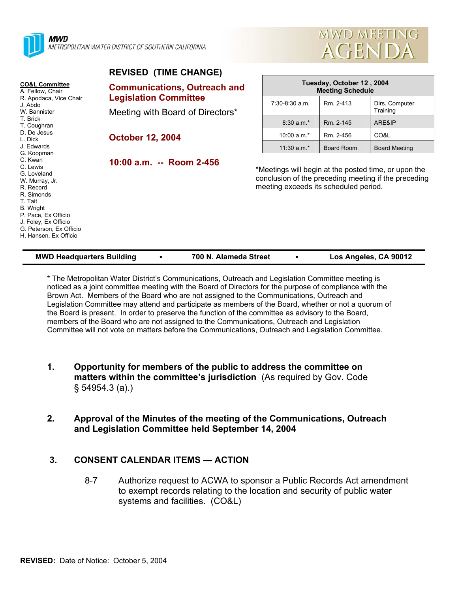



| <b>REVISED (TIME CHANGE)</b>                                                                                                                                                                               |                                                                     |                                                                                               |                                                      |                                                      |  |
|------------------------------------------------------------------------------------------------------------------------------------------------------------------------------------------------------------|---------------------------------------------------------------------|-----------------------------------------------------------------------------------------------|------------------------------------------------------|------------------------------------------------------|--|
| <b>CO&amp;L Committee</b><br>A. Fellow, Chair<br>R. Apodaca, Vice Chair<br>J. Abdo                                                                                                                         | <b>Communications, Outreach and</b><br><b>Legislation Committee</b> |                                                                                               | Tuesday, October 12, 2004<br><b>Meeting Schedule</b> |                                                      |  |
|                                                                                                                                                                                                            |                                                                     | $7:30-8:30$ a.m.                                                                              | Rm. 2-413                                            | Dirs. Computer                                       |  |
| W. Bannister                                                                                                                                                                                               | Meeting with Board of Directors*<br><b>October 12, 2004</b>         |                                                                                               |                                                      | Training                                             |  |
| T. Brick<br>T. Coughran<br>D. De Jesus<br>L. Dick                                                                                                                                                          |                                                                     | $8:30 a.m.*$                                                                                  | Rm. 2-145                                            | ARE&IP                                               |  |
|                                                                                                                                                                                                            |                                                                     | 10:00 $a.m.*$                                                                                 | Rm. 2-456                                            | CO&L                                                 |  |
| J. Edwards<br>G. Koopman                                                                                                                                                                                   |                                                                     | 11:30 $a.m.*$                                                                                 | Board Room                                           | <b>Board Meeting</b>                                 |  |
| C. Kwan<br>C. Lewis<br>G. Loveland<br>W. Murray, Jr.<br>R. Record<br>R. Simonds<br>T. Tait<br>B. Wright<br>P. Pace, Ex Officio<br>J. Foley, Ex Officio<br>G. Peterson, Ex Officio<br>H. Hansen, Ex Officio | 10:00 a.m. -- Room 2-456                                            | *Meetings will begin at the posted time, or upon the<br>meeting exceeds its scheduled period. |                                                      | conclusion of the preceding meeting if the preceding |  |

\* The Metropolitan Water District's Communications, Outreach and Legislation Committee meeting is noticed as a joint committee meeting with the Board of Directors for the purpose of compliance with the Brown Act. Members of the Board who are not assigned to the Communications, Outreach and Legislation Committee may attend and participate as members of the Board, whether or not a quorum of the Board is present. In order to preserve the function of the committee as advisory to the Board, members of the Board who are not assigned to the Communications, Outreach and Legislation Committee will not vote on matters before the Communications, Outreach and Legislation Committee.

**MWD Headquarters Building** y **700 N. Alameda Street** y **Los Angeles, CA 90012** 

- **1. Opportunity for members of the public to address the committee on matters within the committee's jurisdiction** (As required by Gov. Code § 54954.3 (a).)
- **2. Approval of the Minutes of the meeting of the Communications, Outreach and Legislation Committee held September 14, 2004**

#### **3. CONSENT CALENDAR ITEMS — ACTION**

8-7 Authorize request to ACWA to sponsor a Public Records Act amendment to exempt records relating to the location and security of public water systems and facilities. (CO&L)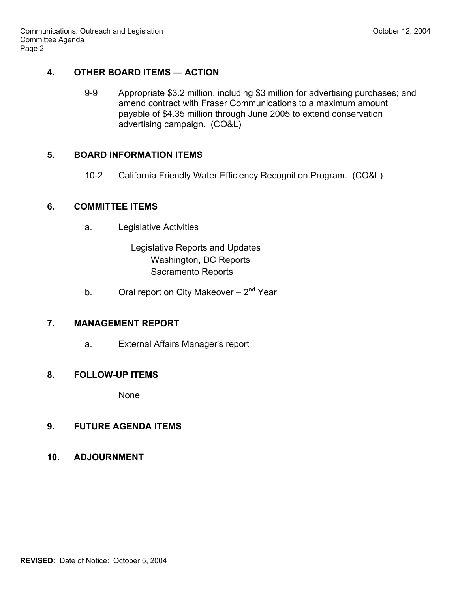### **4. OTHER BOARD ITEMS — ACTION**

9-9 Appropriate \$3.2 million, including \$3 million for advertising purchases; and amend contract with Fraser Communications to a maximum amount payable of \$4.35 million through June 2005 to extend conservation advertising campaign. (CO&L)

### **5. BOARD INFORMATION ITEMS**

10-2 California Friendly Water Efficiency Recognition Program. (CO&L)

### **6. COMMITTEE ITEMS**

a. Legislative Activities

 Legislative Reports and Updates Washington, DC Reports Sacramento Reports

b. Oral report on City Makeover  $-2<sup>nd</sup>$  Year

# **7. MANAGEMENT REPORT**

a. External Affairs Manager's report

# **8. FOLLOW-UP ITEMS**

None

#### **9. FUTURE AGENDA ITEMS**

**10. ADJOURNMENT**